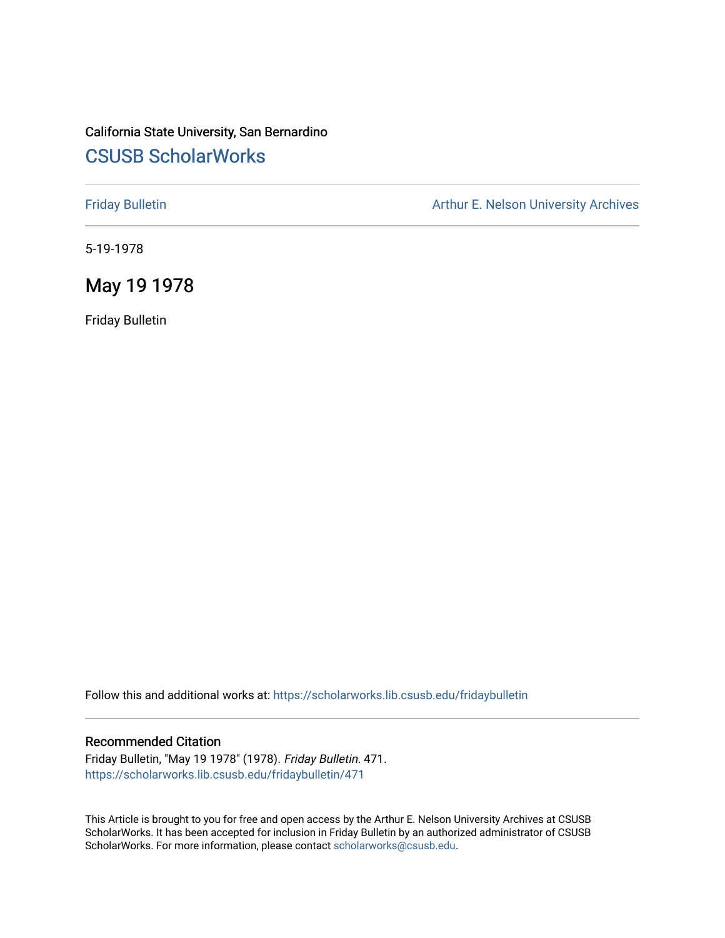## California State University, San Bernardino [CSUSB ScholarWorks](https://scholarworks.lib.csusb.edu/)

[Friday Bulletin](https://scholarworks.lib.csusb.edu/fridaybulletin) **Arthur E. Nelson University Archives** Arthur E. Nelson University Archives

5-19-1978

## May 19 1978

Friday Bulletin

Follow this and additional works at: [https://scholarworks.lib.csusb.edu/fridaybulletin](https://scholarworks.lib.csusb.edu/fridaybulletin?utm_source=scholarworks.lib.csusb.edu%2Ffridaybulletin%2F471&utm_medium=PDF&utm_campaign=PDFCoverPages)

## Recommended Citation

Friday Bulletin, "May 19 1978" (1978). Friday Bulletin. 471. [https://scholarworks.lib.csusb.edu/fridaybulletin/471](https://scholarworks.lib.csusb.edu/fridaybulletin/471?utm_source=scholarworks.lib.csusb.edu%2Ffridaybulletin%2F471&utm_medium=PDF&utm_campaign=PDFCoverPages)

This Article is brought to you for free and open access by the Arthur E. Nelson University Archives at CSUSB ScholarWorks. It has been accepted for inclusion in Friday Bulletin by an authorized administrator of CSUSB ScholarWorks. For more information, please contact [scholarworks@csusb.edu.](mailto:scholarworks@csusb.edu)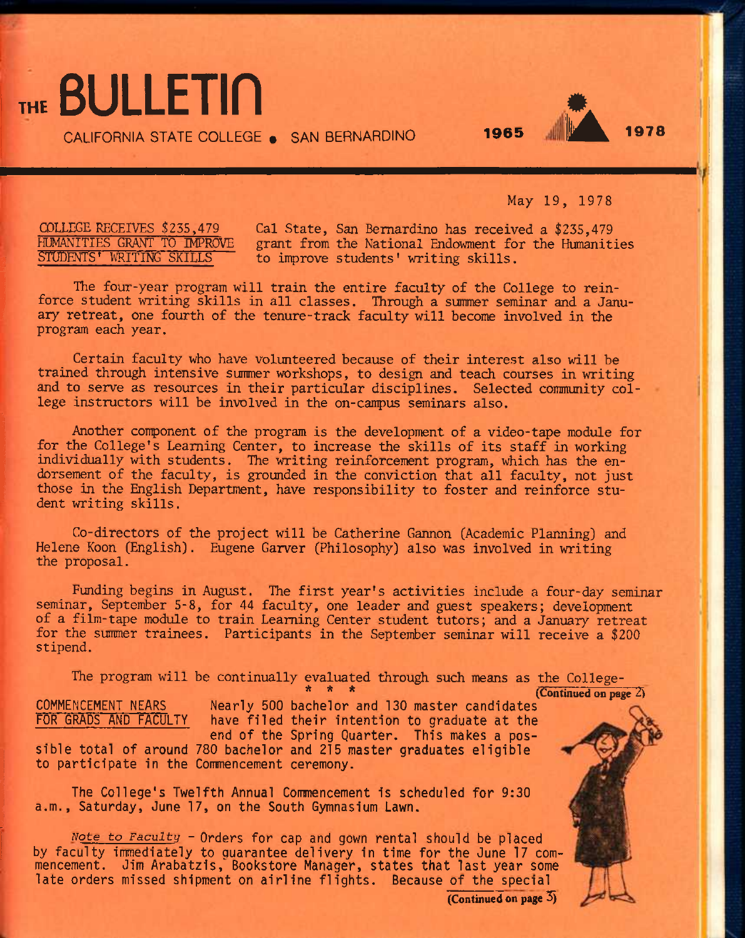CALIFORNIA STATE COLLEGE • SAN BERNARDINO **<sup>1965</sup>**

May 19, 1978

**,\*A** !!• **<sup>1978</sup>**

### COLLEGE RECEIVES \$255,479 HUMANITIES GRANT TO IMPROVE STUDENTS<sup>'</sup> WRITING SKILLS

THE **BULLETIN** 

Gal State, San Bernardino has received a \$235,479 grant from the National Endowment for the Humanities to improve students' writing skills.

The four-year program will train the entire faculty of the College to reinforce student writing skills in all classes. Through a summer seminar and a January retreat, one fourth of the tenure-track faculty will become involved in the program each year.

Certain faculty who have volunteered because of their interest also will be trained through intensive summer workshops, to design and teach courses in writing and to serve as resources in their particular disciplines. Selected community college instructors will be involved in the on-canpus seminars also.

Another conponent of the program is the development of a video-tape module for for the College's Leaming Center, to increase the skills of its staff in working individually with students. The writing reinforcement program, which has the endorsement of the faculty, is grounded in the conviction that all faculty, not just those in the English Department, have responsibility to foster and reinforce student writing skills.

Co-directors of the project will be Catherine Gannon (Academic Planning) and Helene Koon (English). Eugene Garver (Philosophy) also was involved in writing the proposal.

Funding begins in August. The first year's activities include a four-day seminar seminar, September 5-8, for 44 faculty, one leader and guest speakers; development of a film-tape module to train Learning Center student tutors; and a January retreat for the summer trainees. Participants in the September seminar will receive a \$200 stipend.

The program will be continually evaluated through such means as the College- **\* \* \***  COMMENCEMENT NEARS FOR GRADS AND FACULTY Nearly 500 bachelor and 130 master candidates have filed their intention to graduate at the end of the Spring Quarter. This makes a possible total of around 780 bachelor and 215 master graduates eligible to participate in the Commencement ceremony. (Continued on page^

The College's Twelfth Annual Commencement is scheduled for 9:30 a.m., Saturday, June 17, on the South Gymnasium Lawn.

*Note to* Faculty - Orders for cap and gown rental should be placed by faculty immediately to guarantee delivery in time for the June 17 commencement. Jim Arabatzis, Bookstore Manager, states that last year some late orders missed shipment on airline flights. Because of the special

(Continued on page  $\overline{5}$ )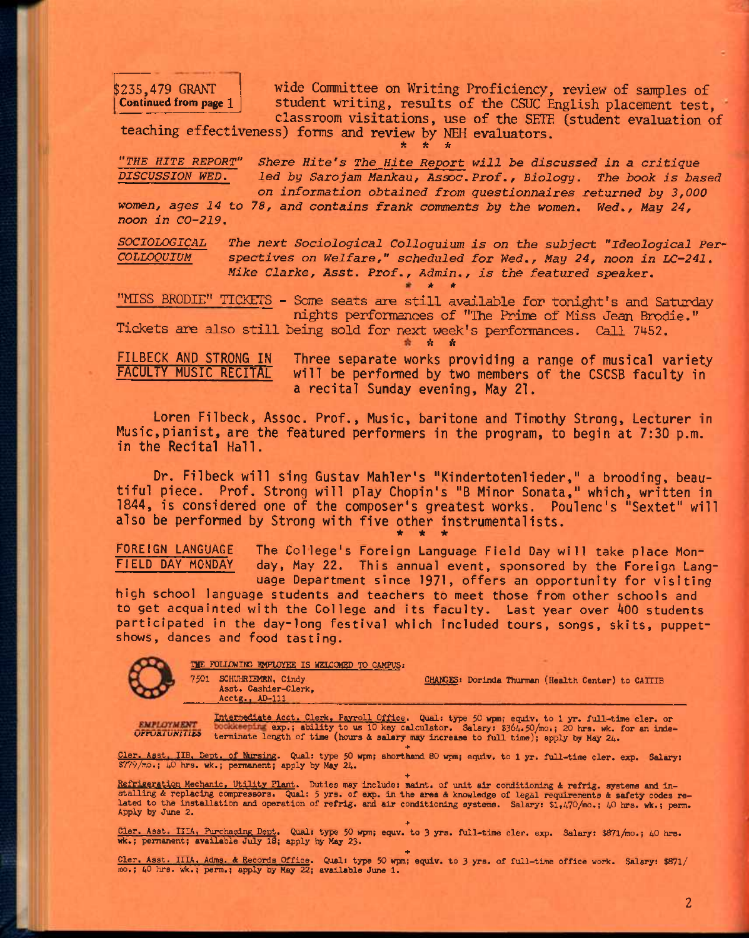\$235,479 GRANT Continued from page 1 wide Committee on Writing Proficiency, review of samples of student writing, results of the CSUC English placement test, classroom visitations, use of the SETE (student evaluation of

teaching effectiveness) forms and review by NEH evaluators.

**\* \* \*** 

*"THE HITE REPORT" Share Hite's The Hite Report will be discussed in a critique DISCUSSION WED. led by Sarojam Mankau, Assoc. Prof,, Biology. The book is based on information obtained from questionnaires returned by 3,000* 

*women, ages 14 to 78, and contains frank comments by the women. Wed., May 24, noon in CO-219.* 

*SOCIOLOGICAL The next Sociological Colloquium is on the subject "Ideological Per-COLLOQUIUM spectives on Welfare," scheduled for Wed., May 24, noon in LC-241, Mike Clarke, Asst. Prof., Admin., is the featured speaker.*  >(• St"

"MISS BRODIE" TICKETS - Some seats are still available for tonight's and Saturday nights performances of "The Prime of Miss Jean Brodie."

Tickets are also still being sold for next week's performances. Call 7452, *\* \** 

FILBECK AND STRONG IN Three separate works providing a range of musical variety<br>FACULTY MUSIC RECITAL will be performed by two members of the CSCSB faculty in will be performed by two members of the CSCSB faculty in a recital Sunday evening. May 21.

Loren Filbeck, Assoc. Prof., Music, baritone and Timothy Strong, Lecturer in Music,pianist, are the featured performers in the program, to begin at 7:30 p.m. in the Recital Hall.

Dr. Filbeck will sing Gustav Mahler's "Kindertotenlieder," a brooding, beautiful piece. Prof. Strong will play Chopin's "B Minor Sonata," which, written in 1844, is considered one of the composer's greatest works. Poulenc's "Sextet" will also be performed by Strong with five other instrumentalists. **\* \* \*** 

FOREIGN LANGUAGE The College's Foreign Language Field Day will take place Monday, May 22. This annual event, sponsored by the Foreign Language Department since 1971, offers an opportunity for visiting

high school language students and teachers to meet those from other schools and to get acquainted with the College and its faculty. Last year over 400 students participated in the day-long festival which included tours, songs, skits, puppetshows, dances and food tasting.



THE FOLLOWING EMPLOYEE IS WELCOMED TO CAMPUS:

7501 SCHUHRIEMEN, Cindy CHAMGES: Dorinda Thurman (Health Center) to CAITIB Asst. Cashier-Clerk, Acctg., AD-111

**EMPLOYMENT** 

ENFLOYMENT Intermediate Acct. Clerk, Payroll Office. Qual: type 50 wpm; equiv. to 1 yr. full-time cler. or bookkeeping exp.; ability to us 10 key calculator. Salary: \$364.50/mo.; 20 hrs. wk. for an inde-<br>OFFORIUNITIES term

Asst. IIB. Dept. of Nursing. Qual: type 50 wpm; shorthand 80 wpm; equiv. to 1 yr. full-time cler. exp. Salary: Cler. Asst. IIB, Dept. of Nursing. Quarty May 24. \$779/mo.; 40 hrs. wk.; permanent; apply by May 24.

Refrigeration Mechanic, Utility Plant. Duties may include: maint, of unit air conditioning & refrig, systems and in-<br>stalling & replacing compressors. Qual: 5 yrs, of exp. in the area & knowledge of legal requirements & sa Apply by June 2.

**+**  Cler. Asst. IIIA, Purchasing Dept. Qual: type 50 wpm; equv. to 3 yrs. full-time cler. exp. Salary: \$87l/mo.; 40 hrs. wk.; permanent; available July 18; apply ty May 23.

**+**  Cler. Asst. IIIA. Adms. A Records Office. Qual: type 50 wpm; equiv. to 3 yrs. of full-time office work. Salary: \$871/ mo.; 40 hrs. wk.; perm.; apply by May 22; available June 1.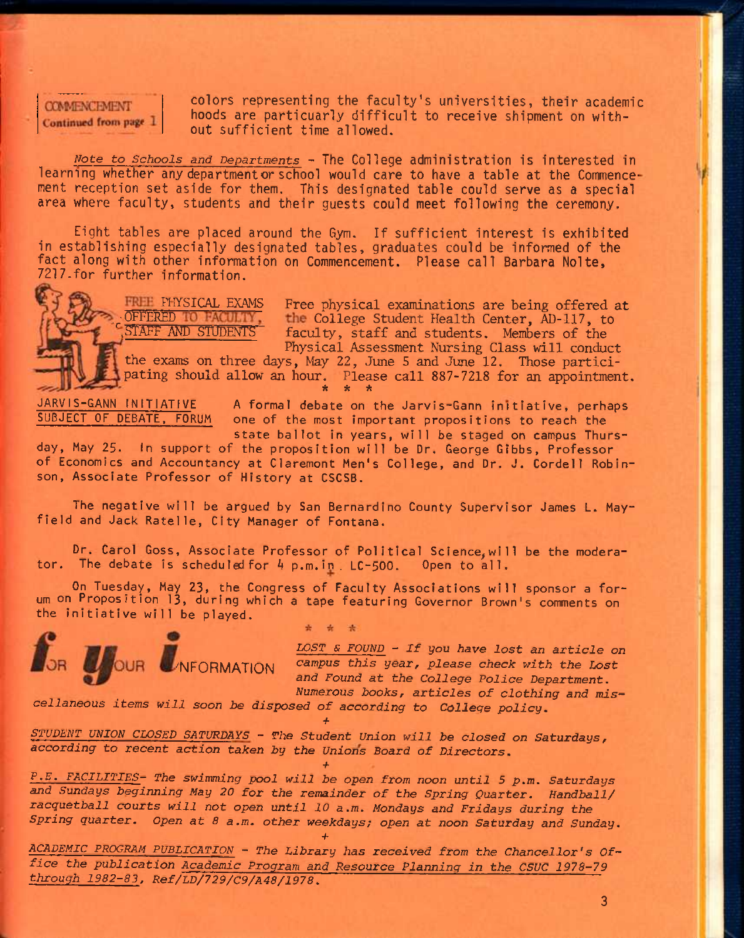**COMMENCEMENT** Continued from page 1 colors representing the faculty's universities, their academic hoods are particuarly difficult to receive shipment on without sufficient time allowed.

*Note to Schools and Departments -* The College administration is interested in learning whether any department or school would care to have a table at the Commencement reception set aside for them. This designated table could serve as a special area where faculty, students and their guests could meet following the ceremony.

Eight tables are placed around the Gym. If sufficient interest is exhibited in establishing especially designated tables, graduates could be informed of the fact along with other information on Commencement. Please call Barbara Nolte, 7217.for further information.



PHYSICAL EXAMS Free physical examinations are being offered at OFFERED TO FACULTY the College Student Health Center, AD-117, to OFFERED TO FACULTY the College Student Health Center, AD-117, to<br>STAFF AND STUDENTS faculty, staff and students, Members of the faculty, staff and students. Members of the Physical Assessment Nursing Class will conduct

the exams on three days, May 22, June 5 and June 12. Those participating should allow an hour. Please call 887-7218 for an appointment. *\* it "k* 

 $JARVIS-GANIN INITIATIVE$  A formal debate on the Jarvis-Gann initiative, perhaps  $SUBJECT OF DEBATE, FORM$  one of the most important propositions to reach the one of the most important propositions to reach the state ballot in years, will be staged on campus Thurs-

day, May 25. In support of the proposition will be Dr. George Glbbs, Professor of Economics and Accountancy at Claremont Men's College, and Dr. J. Cordell Robinson, Associate Professor of History at CSCSB.

The negative will be argued by San Bernardino County Supervisor James L. Mayfield and Jack Ratelle, City Manager of Fontana.

Dr. Carol Goss, Associate Professor of Political Science, will be the moderator. The debate is scheduled for 4 p.m.in LC-500. Open to all.

On Tuesday, May 23, the Congress of Faculty Associations will sponsor a forum on Proposition 13, during which a tape featuring Governor Brown's comments on the initiative will be played.

> 雀 来



*LOST S FOUND ~ If you have lost an article on*  OR OUR NFORMATION campus this year, please check with the Lost *and Found at the College Police Department, Numerous books, articles of clothing and mis-*

*cellaneous items will soon be disposed of according to College policy,* 

*STUDENT UNION CIDSED SATURDAYS - The Student Union will be closed on Saturdays, according to recent action taken by the Unions Board of Directors.* 

**+** 

*P.E. FACILITIES- The swimming pool will be open from noon until 5 p,m. Saturdays and* Sundays *beginning May 20 for the remainder of the Spring Quarter. Handball/*  racquetball courts will not open until 10 a.m. Mondays and Fridays during the *Spring quarter. Open at 8 a.m. other weekdays; open at noon Saturday and* Sunday.

*•h* 

ACADEMIC PROGRAM PUBLICATION - The Library has received from the Chancellor's Of*fice the publication Academic Program and Resource Planning in the CSUC 1978-79 through 1982-83, Ref/LD/729/C9/A48/1978.* 

•f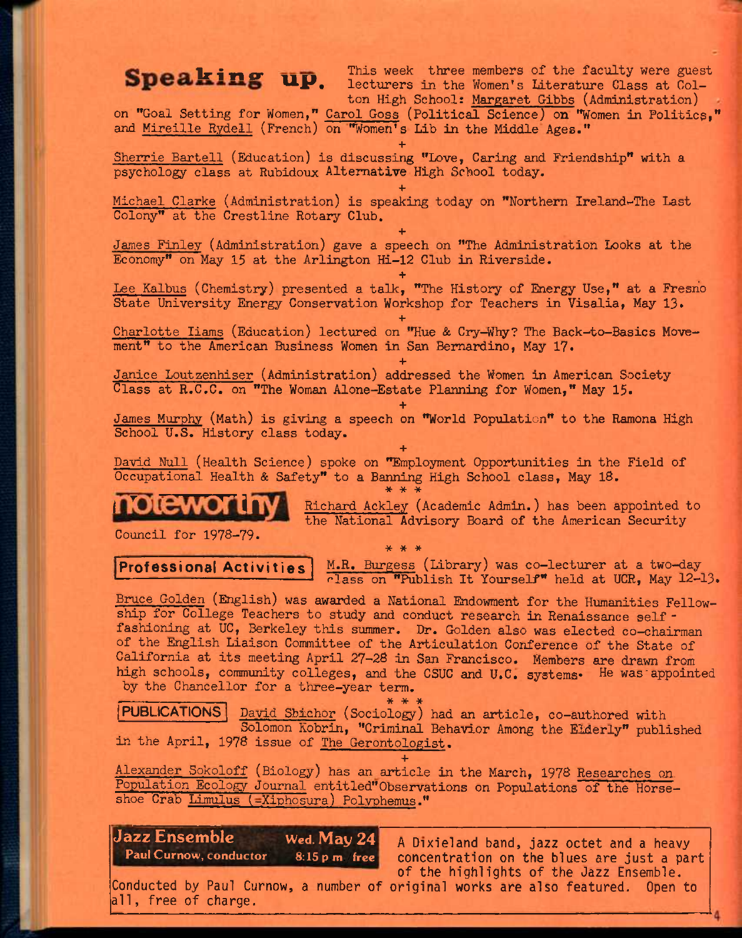king up This week three members of the faculty were guest up. This week three members of the faculty were gues<br>lecturers in the Women's Literature Class at Colton High School: Margaret Gibbs (Administration)

on "Goal Setting for Women," Carol Goss (Political Science) on "Women in Politics," and Mireille Rydell (French) on "Women's Lib in the Middle Ages."

**+**  Sherrie Bartell (Education) is discussing "Love, Caring and Friendship" with a psychology class at Rubidoux Alternative High School today.

**+**  Michael Clarke (Administration) is speaking today on "Northern Ireland^-The Last Colony" at the Crestline Rotary Club.

**+**  James Finley (Administration) gave a speech on "The Administration Looks at the Economy" on May 15 at the Arlington Hi-12 Club in Riverside.

**+**  Lee Kalbus (Chemistry) presented a talk, "The History of Energy Use," at a Fresrio State University Energy Conservation Workshop for Teachers in Visalia, May 13\*

**+**  Charlotte liams (Education) lectured on "Hue & Cry-Why? The Back-to-Basics Movement" to the American Business Women in San Bernardino, May 17.

*+*  Janice Loutzenhiser (Administration) addressed the Women in American Society Class at R.C.C. on "The Woman Alone-Estate Planning for Women," May 15•

**+**  James Murphy (Math) is giving a speech on "World Population" to the Ramona High School U.S. History class today.

**+**  David Null (Health Science) spoke on "Employment Opportunities in the Field of Occupational Health & Safety" to a Banning High School class, May 18.  $\frac{1}{2}$ 

\* \* \*



Richard Ackley (Academic Admin.) has been appointed to the National Advisory Board of the American Security

Council for 1978-79.

**Professional Activities** M.R. Burgess (Library) was co-lecturer at a two-day  $r$ lass on "Publish It Yourself" held at UCR, May 12-13.

Bruce Golden (English) was awarded a National Endowment for the Humanities Fellowship for College Teachers to study and conduct research in Renaissance self fashioning at UC, Berkeley this summer. Dr. Golden also was elected co-chairman of the English Liaison Committee of the Articulation Conference of the State of California at its meeting April 27—28 in San Francisco, Members are drawn from high schools, community colleges, and the CSUC and U.C. systems. He was appointed by the Chancellor for a three-year term,

**\* \* \* PUBLICATIONS** David Sbichor (Sociology) had an article, co-authored with Solomon Kobrin, "Criminal Behavior Among the Elderly" published in the April, 1978 issue of The Gerontologist.

**+**  Alexander Sokoloff (Biology) has an article in the March, 1978 Researches on. Population Ecology Journal entitled"Observations on Populations of the Horseshoe Crab Limulus (=Xiphosura) Polyphemus."

**Jazz Ensemble** Wed. **May24**  Paul Curnow, conductor 8:15 p.m./free

A Dixieland band, jazz octet and a heavy concentration on the blues are just a part of the highlights of the Jazz Ensemble.

Conducted by Paul Curnow, a number of original works are also featured. Open to al1, free of charge.